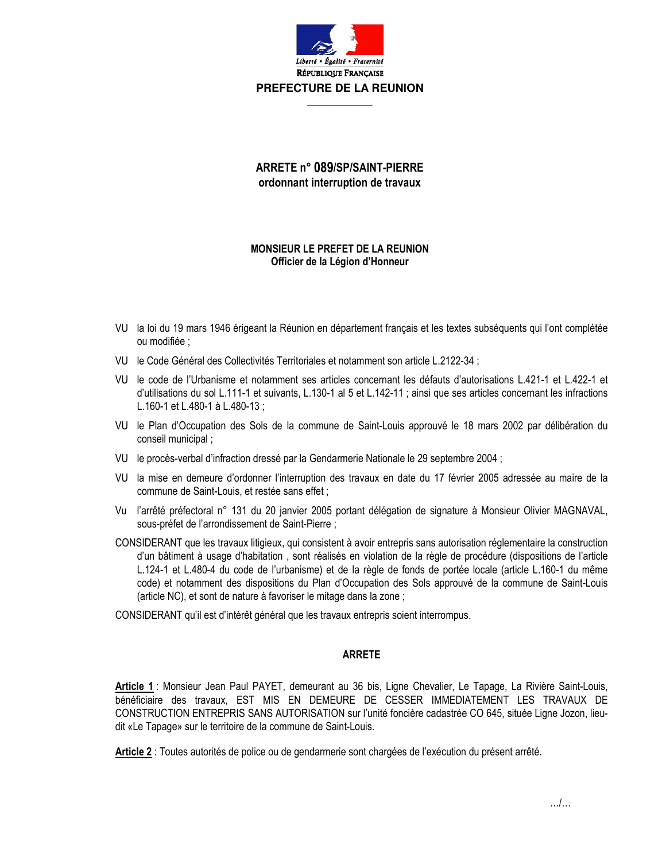

## ARRETE n° 089/SP/SAINT-PIERRE ordonnant interruption de travaux

## **MONSIEUR LE PREFET DE LA REUNION** Officier de la Légion d'Honneur

- VU la loi du 19 mars 1946 érigeant la Réunion en département français et les textes subséquents qui l'ont complétée ou modifiée :
- VU le Code Général des Collectivités Territoriales et notamment son article L.2122-34 :
- VU le code de l'Urbanisme et notamment ses articles concernant les défauts d'autorisations L.421-1 et L.422-1 et d'utilisations du sol L.111-1 et suivants, L.130-1 al 5 et L.142-11; ainsi que ses articles concernant les infractions L.160-1 et L.480-1 à L.480-13 ;
- VU le Plan d'Occupation des Sols de la commune de Saint-Louis approuvé le 18 mars 2002 par délibération du conseil municipal:
- VU le procès-verbal d'infraction dressé par la Gendarmerie Nationale le 29 septembre 2004 ;
- VU la mise en demeure d'ordonner l'interruption des travaux en date du 17 février 2005 adressée au maire de la commune de Saint-Louis, et restée sans effet ;
- Vu l'arrêté préfectoral n° 131 du 20 janvier 2005 portant délégation de signature à Monsieur Olivier MAGNAVAL, sous-préfet de l'arrondissement de Saint-Pierre ;
- CONSIDERANT que les travaux litigieux, qui consistent à avoir entrepris sans autorisation réglementaire la construction d'un bâtiment à usage d'habitation, sont réalisés en violation de la règle de procédure (dispositions de l'article L.124-1 et L.480-4 du code de l'urbanisme) et de la règle de fonds de portée locale (article L.160-1 du même code) et notamment des dispositions du Plan d'Occupation des Sols approuvé de la commune de Saint-Louis (article NC), et sont de nature à favoriser le mitage dans la zone;

CONSIDERANT qu'il est d'intérêt général que les travaux entrepris soient interrompus.

## **ARRETE**

Article 1: Monsieur Jean Paul PAYET, demeurant au 36 bis, Ligne Chevalier, Le Tapage, La Rivière Saint-Louis, bénéficiaire des travaux, EST MIS EN DEMEURE DE CESSER IMMEDIATEMENT LES TRAVAUX DE CONSTRUCTION ENTREPRIS SANS AUTORISATION sur l'unité foncière cadastrée CO 645, située Ligne Jozon, lieudit «Le Tapage» sur le territoire de la commune de Saint-Louis.

Article 2 : Toutes autorités de police ou de gendarmerie sont chargées de l'exécution du présent arrêté.